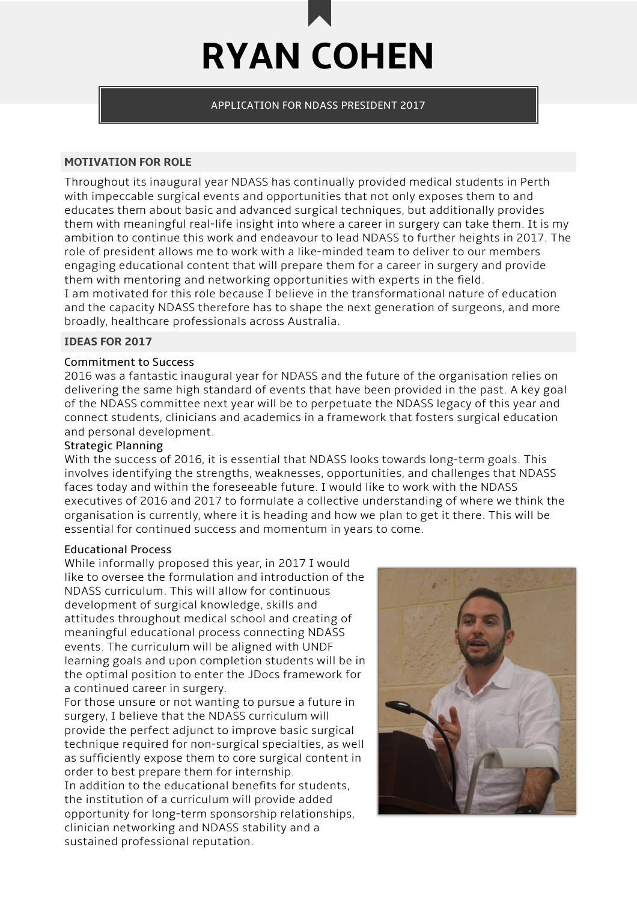

APPLICATION FOR NDASS PRESIDENT 2017

### **MOTIVATION FOR ROLE**

Throughout its inaugural year NDASS has continually provided medical students in Perth with impeccable surgical events and opportunities that not only exposes them to and educates them about basic and advanced surgical techniques, but additionally provides them with meaningful real-life insight into where a career in surgery can take them. It is my ambition to continue this work and endeavour to lead NDASS to further heights in 2017. The role of president allows me to work with a like-minded team to deliver to our members engaging educational content that will prepare them for a career in surgery and provide them with mentoring and networking opportunities with experts in the field. I am motivated for this role because I believe in the transformational nature of education and the capacity NDASS therefore has to shape the next generation of surgeons, and more broadly, healthcare professionals across Australia.

## **IDEAS FOR 2017**

### Commitment to Success

2016 was a fantastic inaugural year for NDASS and the future of the organisation relies on delivering the same high standard of events that have been provided in the past. A key goal of the NDASS committee next year will be to perpetuate the NDASS legacy of this year and connect students, clinicians and academics in a framework that fosters surgical education and personal development.

### Strategic Planning

With the success of 2016, it is essential that NDASS looks towards long-term goals. This involves identifying the strengths, weaknesses, opportunities, and challenges that NDASS faces today and within the foreseeable future. I would like to work with the NDASS executives of 2016 and 2017 to formulate a collective understanding of where we think the organisation is currently, where it is heading and how we plan to get it there. This will be essential for continued success and momentum in years to come.

#### Educational Process

While informally proposed this year, in 2017 I would like to oversee the formulation and introduction of the NDASS curriculum. This will allow for continuous development of surgical knowledge, skills and attitudes throughout medical school and creating of meaningful educational process connecting NDASS events. The curriculum will be aligned with UNDF learning goals and upon completion students will be in the optimal position to enter the JDocs framework for a continued career in surgery.

For those unsure or not wanting to pursue a future in surgery, I believe that the NDASS curriculum will provide the perfect adjunct to improve basic surgical technique required for non-surgical specialties, as well as sufficiently expose them to core surgical content in order to best prepare them for internship. In addition to the educational benefits for students, the institution of a curriculum will provide added opportunity for long-term sponsorship relationships, clinician networking and NDASS stability and a sustained professional reputation.